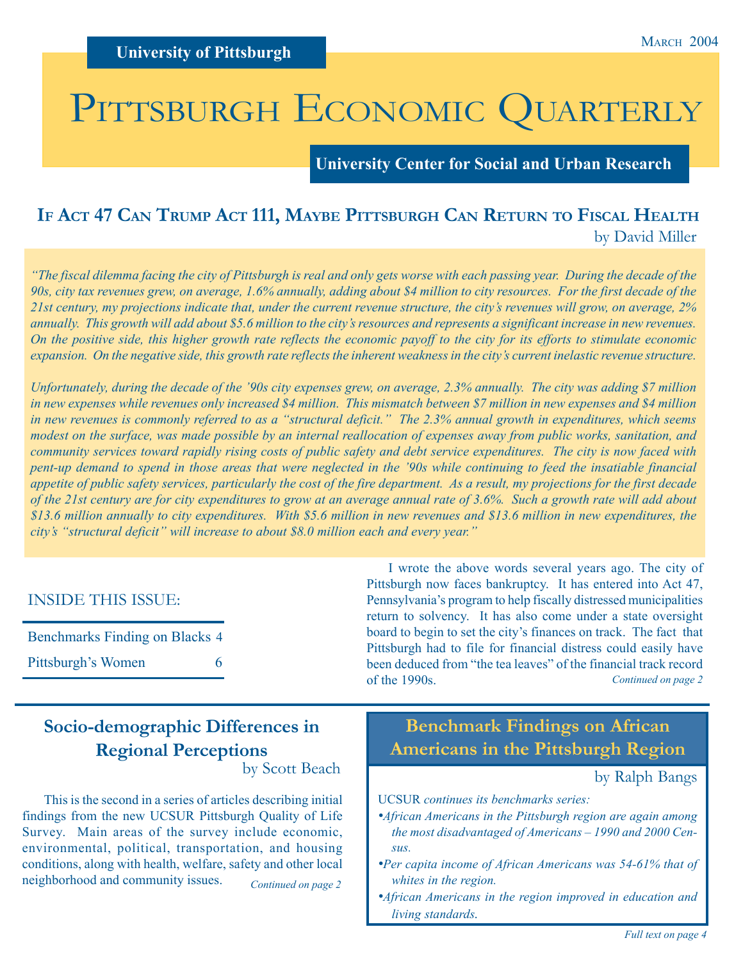# PITTSBURGH ECONOMIC QUARTERLY

**University Center for Social and Urban Research**

## **IF ACT 47 CAN TRUMP ACT 111, MAYBE PITTSBURGH CAN RETURN TO FISCAL HEALTH** by David Miller

*"The fiscal dilemma facing the city of Pittsburgh is real and only gets worse with each passing year. During the decade of the 90s, city tax revenues grew, on average, 1.6% annually, adding about \$4 million to city resources. For the first decade of the 21st century, my projections indicate that, under the current revenue structure, the city's revenues will grow, on average, 2% annually. This growth will add about \$5.6 million to the city's resources and represents a significant increase in new revenues. On the positive side, this higher growth rate reflects the economic payoff to the city for its efforts to stimulate economic expansion. On the negative side, this growth rate reflects the inherent weakness in the city's current inelastic revenue structure.*

*Unfortunately, during the decade of the '90s city expenses grew, on average, 2.3% annually. The city was adding \$7 million in new expenses while revenues only increased \$4 million. This mismatch between \$7 million in new expenses and \$4 million in new revenues is commonly referred to as a "structural deficit." The 2.3% annual growth in expenditures, which seems modest on the surface, was made possible by an internal reallocation of expenses away from public works, sanitation, and community services toward rapidly rising costs of public safety and debt service expenditures. The city is now faced with pent-up demand to spend in those areas that were neglected in the '90s while continuing to feed the insatiable financial appetite of public safety services, particularly the cost of the fire department. As a result, my projections for the first decade of the 21st century are for city expenditures to grow at an average annual rate of 3.6%. Such a growth rate will add about \$13.6 million annually to city expenditures. With \$5.6 million in new revenues and \$13.6 million in new expenditures, the city's "structural deficit" will increase to about \$8.0 million each and every year."*

### INSIDE THIS ISSUE:

| Benchmarks Finding on Blacks 4 |   |
|--------------------------------|---|
| Pittsburgh's Women             | 6 |

*Continued on page 2* I wrote the above words several years ago. The city of Pittsburgh now faces bankruptcy. It has entered into Act 47, Pennsylvania's program to help fiscally distressed municipalities return to solvency. It has also come under a state oversight board to begin to set the city's finances on track. The fact that Pittsburgh had to file for financial distress could easily have been deduced from "the tea leaves" of the financial track record of the 1990s.

# **Socio-demographic Differences in Regional Perceptions**

by Scott Beach

*Continued on page 2* This is the second in a series of articles describing initial findings from the new UCSUR Pittsburgh Quality of Life Survey. Main areas of the survey include economic, environmental, political, transportation, and housing conditions, along with health, welfare, safety and other local neighborhood and community issues.

# **Benchmark Findings on African Americans in the Pittsburgh Region**

### by Ralph Bangs

- UCSUR *continues its benchmarks series:*
- *•African Americans in the Pittsburgh region are again among the most disadvantaged of Americans – 1990 and 2000 Census.*
- *•Per capita income of African Americans was 54-61% that of whites in the region.*
- *•African Americans in the region improved in education and living standards.*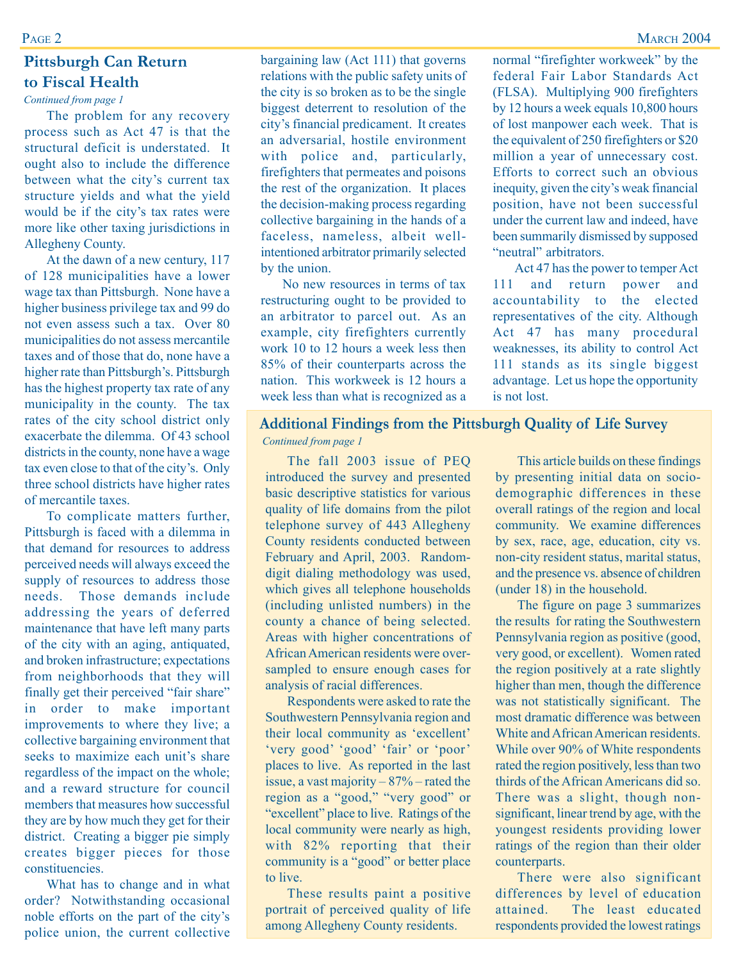## **Pittsburgh Can Return to Fiscal Health**

*Continued from page 1*

PAGE 2

The problem for any recovery process such as Act 47 is that the structural deficit is understated. It ought also to include the difference between what the city's current tax structure yields and what the yield would be if the city's tax rates were more like other taxing jurisdictions in Allegheny County.

At the dawn of a new century, 117 of 128 municipalities have a lower wage tax than Pittsburgh. None have a higher business privilege tax and 99 do not even assess such a tax. Over 80 municipalities do not assess mercantile taxes and of those that do, none have a higher rate than Pittsburgh's. Pittsburgh has the highest property tax rate of any municipality in the county. The tax rates of the city school district only exacerbate the dilemma. Of 43 school districts in the county, none have a wage tax even close to that of the city's. Only three school districts have higher rates of mercantile taxes.

To complicate matters further, Pittsburgh is faced with a dilemma in that demand for resources to address perceived needs will always exceed the supply of resources to address those needs. Those demands include addressing the years of deferred maintenance that have left many parts of the city with an aging, antiquated, and broken infrastructure; expectations from neighborhoods that they will finally get their perceived "fair share" in order to make important improvements to where they live; a collective bargaining environment that seeks to maximize each unit's share regardless of the impact on the whole; and a reward structure for council members that measures how successful they are by how much they get for their district. Creating a bigger pie simply creates bigger pieces for those constituencies.

What has to change and in what order? Notwithstanding occasional noble efforts on the part of the city's police union, the current collective

bargaining law (Act 111) that governs relations with the public safety units of the city is so broken as to be the single biggest deterrent to resolution of the city's financial predicament. It creates an adversarial, hostile environment with police and, particularly, firefighters that permeates and poisons the rest of the organization. It places the decision-making process regarding collective bargaining in the hands of a faceless, nameless, albeit wellintentioned arbitrator primarily selected by the union.

No new resources in terms of tax restructuring ought to be provided to an arbitrator to parcel out. As an example, city firefighters currently work 10 to 12 hours a week less then 85% of their counterparts across the nation. This workweek is 12 hours a week less than what is recognized as a normal "firefighter workweek" by the federal Fair Labor Standards Act (FLSA). Multiplying 900 firefighters by 12 hours a week equals 10,800 hours of lost manpower each week. That is the equivalent of 250 firefighters or \$20 million a year of unnecessary cost. Efforts to correct such an obvious inequity, given the city's weak financial position, have not been successful under the current law and indeed, have been summarily dismissed by supposed "neutral" arbitrators.

Act 47 has the power to temper Act 111 and return power and accountability to the elected representatives of the city. Although Act 47 has many procedural weaknesses, its ability to control Act 111 stands as its single biggest advantage. Let us hope the opportunity is not lost.

### **Additional Findings from the Pittsburgh Quality of Life Survey**

#### *Continued from page 1*

The fall 2003 issue of PEQ introduced the survey and presented basic descriptive statistics for various quality of life domains from the pilot telephone survey of 443 Allegheny County residents conducted between February and April, 2003. Randomdigit dialing methodology was used, which gives all telephone households (including unlisted numbers) in the county a chance of being selected. Areas with higher concentrations of African American residents were oversampled to ensure enough cases for analysis of racial differences.

Respondents were asked to rate the Southwestern Pennsylvania region and their local community as 'excellent' 'very good' 'good' 'fair' or 'poor' places to live. As reported in the last issue, a vast majority  $-87%$  – rated the region as a "good," "very good" or "excellent" place to live. Ratings of the local community were nearly as high, with 82% reporting that their community is a "good" or better place to live.

These results paint a positive portrait of perceived quality of life among Allegheny County residents.

This article builds on these findings by presenting initial data on sociodemographic differences in these overall ratings of the region and local community. We examine differences by sex, race, age, education, city vs. non-city resident status, marital status, and the presence vs. absence of children (under 18) in the household.

The figure on page 3 summarizes the results for rating the Southwestern Pennsylvania region as positive (good, very good, or excellent). Women rated the region positively at a rate slightly higher than men, though the difference was not statistically significant. The most dramatic difference was between White and African American residents. While over 90% of White respondents rated the region positively, less than two thirds of the African Americans did so. There was a slight, though nonsignificant, linear trend by age, with the youngest residents providing lower ratings of the region than their older counterparts.

There were also significant differences by level of education attained. The least educated respondents provided the lowest ratings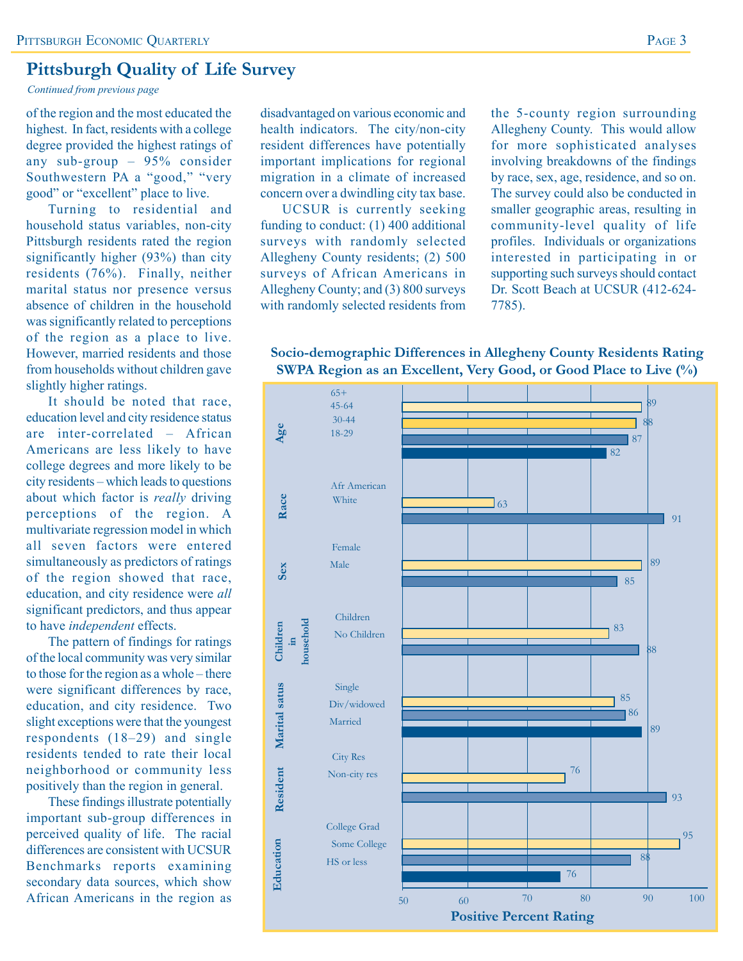### **Pittsburgh Quality of Life Survey**

*Continued from previous page*

of the region and the most educated the highest. In fact, residents with a college degree provided the highest ratings of any sub-group – 95% consider Southwestern PA a "good," "very good" or "excellent" place to live.

Turning to residential and household status variables, non-city Pittsburgh residents rated the region significantly higher (93%) than city residents (76%). Finally, neither marital status nor presence versus absence of children in the household was significantly related to perceptions of the region as a place to live. However, married residents and those from households without children gave slightly higher ratings.

It should be noted that race, education level and city residence status are inter-correlated – African Americans are less likely to have college degrees and more likely to be city residents – which leads to questions about which factor is *really* driving perceptions of the region. A multivariate regression model in which all seven factors were entered simultaneously as predictors of ratings of the region showed that race, education, and city residence were *all* significant predictors, and thus appear to have *independent* effects.

The pattern of findings for ratings of the local community was very similar to those for the region as a whole – there were significant differences by race, education, and city residence. Two slight exceptions were that the youngest respondents (18–29) and single residents tended to rate their local neighborhood or community less positively than the region in general.

These findings illustrate potentially important sub-group differences in perceived quality of life. The racial differences are consistent with UCSUR Benchmarks reports examining secondary data sources, which show African Americans in the region as

disadvantaged on various economic and health indicators. The city/non-city resident differences have potentially important implications for regional migration in a climate of increased concern over a dwindling city tax base.

UCSUR is currently seeking funding to conduct: (1) 400 additional surveys with randomly selected Allegheny County residents; (2) 500 surveys of African Americans in Allegheny County; and (3) 800 surveys with randomly selected residents from

the 5-county region surrounding Allegheny County. This would allow for more sophisticated analyses involving breakdowns of the findings by race, sex, age, residence, and so on. The survey could also be conducted in smaller geographic areas, resulting in community-level quality of life profiles. Individuals or organizations interested in participating in or supporting such surveys should contact Dr. Scott Beach at UCSUR (412-624- 7785).

**Socio-demographic Differences in Allegheny County Residents Rating SWPA Region as an Excellent, Very Good, or Good Place to Live (%)**

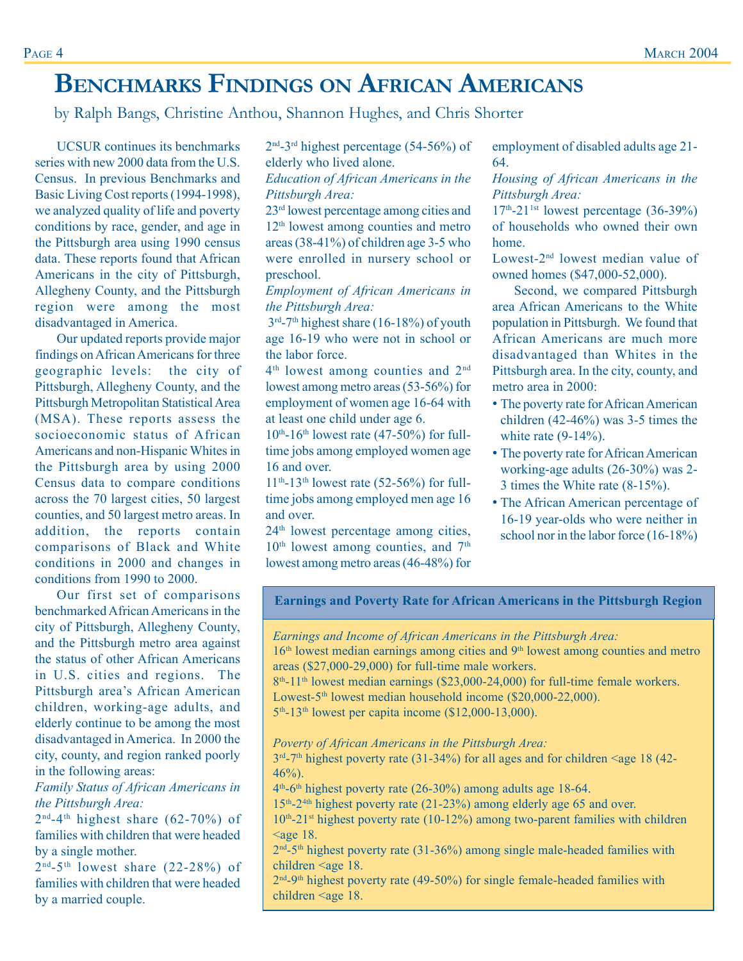# **BENCHMARKS FINDINGS ON AFRICAN AMERICANS**

by Ralph Bangs, Christine Anthou, Shannon Hughes, and Chris Shorter

UCSUR continues its benchmarks series with new 2000 data from the U.S. Census. In previous Benchmarks and Basic Living Cost reports (1994-1998), we analyzed quality of life and poverty conditions by race, gender, and age in the Pittsburgh area using 1990 census data. These reports found that African Americans in the city of Pittsburgh, Allegheny County, and the Pittsburgh region were among the most disadvantaged in America.

Our updated reports provide major findings on African Americans for three geographic levels: the city of Pittsburgh, Allegheny County, and the Pittsburgh Metropolitan Statistical Area (MSA). These reports assess the socioeconomic status of African Americans and non-Hispanic Whites in the Pittsburgh area by using 2000 Census data to compare conditions across the 70 largest cities, 50 largest counties, and 50 largest metro areas. In addition, the reports contain comparisons of Black and White conditions in 2000 and changes in conditions from 1990 to 2000.

Our first set of comparisons benchmarked African Americans in the city of Pittsburgh, Allegheny County, and the Pittsburgh metro area against the status of other African Americans in U.S. cities and regions. The Pittsburgh area's African American children, working-age adults, and elderly continue to be among the most disadvantaged in America. In 2000 the city, county, and region ranked poorly in the following areas:

*Family Status of African Americans in the Pittsburgh Area:*

 $2<sup>nd</sup>-4<sup>th</sup>$  highest share (62-70%) of families with children that were headed by a single mother.

 $2<sup>nd-5</sup>$ <sup>th</sup> lowest share  $(22-28%)$  of families with children that were headed by a married couple.

2nd-3rd highest percentage (54-56%) of elderly who lived alone.

*Education of African Americans in the Pittsburgh Area:*

23rd lowest percentage among cities and 12th lowest among counties and metro areas (38-41%) of children age 3-5 who were enrolled in nursery school or preschool.

*Employment of African Americans in the Pittsburgh Area:*

 $3<sup>rd</sup> - 7<sup>th</sup>$  highest share (16-18%) of youth age 16-19 who were not in school or the labor force.

4th lowest among counties and 2nd lowest among metro areas (53-56%) for employment of women age 16-64 with at least one child under age 6.

 $10^{th}$ -16<sup>th</sup> lowest rate (47-50%) for fulltime jobs among employed women age 16 and over.

 $11^{th}$ -13<sup>th</sup> lowest rate (52-56%) for fulltime jobs among employed men age 16 and over.

24th lowest percentage among cities,  $10<sup>th</sup>$  lowest among counties, and  $7<sup>th</sup>$ lowest among metro areas (46-48%) for employment of disabled adults age 21- 64.

*Housing of African Americans in the Pittsburgh Area:*

 $17<sup>th</sup>$ -21<sup>1st</sup> lowest percentage (36-39%) of households who owned their own home.

Lowest-2nd lowest median value of owned homes (\$47,000-52,000).

Second, we compared Pittsburgh area African Americans to the White population in Pittsburgh. We found that African Americans are much more disadvantaged than Whites in the Pittsburgh area. In the city, county, and metro area in 2000:

- The poverty rate for African American children (42-46%) was 3-5 times the white rate  $(9-14\%)$ .
- The poverty rate for African American working-age adults (26-30%) was 2- 3 times the White rate (8-15%).
- The African American percentage of 16-19 year-olds who were neither in school nor in the labor force (16-18%)

**Earnings and Poverty Rate for African Americans in the Pittsburgh Region**

*Earnings and Income of African Americans in the Pittsburgh Area:*

16<sup>th</sup> lowest median earnings among cities and 9<sup>th</sup> lowest among counties and metro areas (\$27,000-29,000) for full-time male workers.

 $8<sup>th</sup>$ -11<sup>th</sup> lowest median earnings (\$23,000-24,000) for full-time female workers. Lowest-5<sup>th</sup> lowest median household income (\$20,000-22,000).  $5<sup>th</sup> - 13<sup>th</sup>$  lowest per capita income (\$12,000-13,000).

*Poverty of African Americans in the Pittsburgh Area:*

 $3<sup>rd</sup>$ -7<sup>th</sup> highest poverty rate (31-34%) for all ages and for children <age 18 (42-46%).

 $4<sup>th</sup>$ -6<sup>th</sup> highest poverty rate (26-30%) among adults age 18-64.

15th-24th highest poverty rate (21-23%) among elderly age 65 and over.

10th-21st highest poverty rate (10-12%) among two-parent families with children  $\leq$ age 18.

 $2<sup>nd</sup> - 5<sup>th</sup>$  highest poverty rate (31-36%) among single male-headed families with children <age 18.

2<sup>nd</sup>-9<sup>th</sup> highest poverty rate (49-50%) for single female-headed families with children <age 18.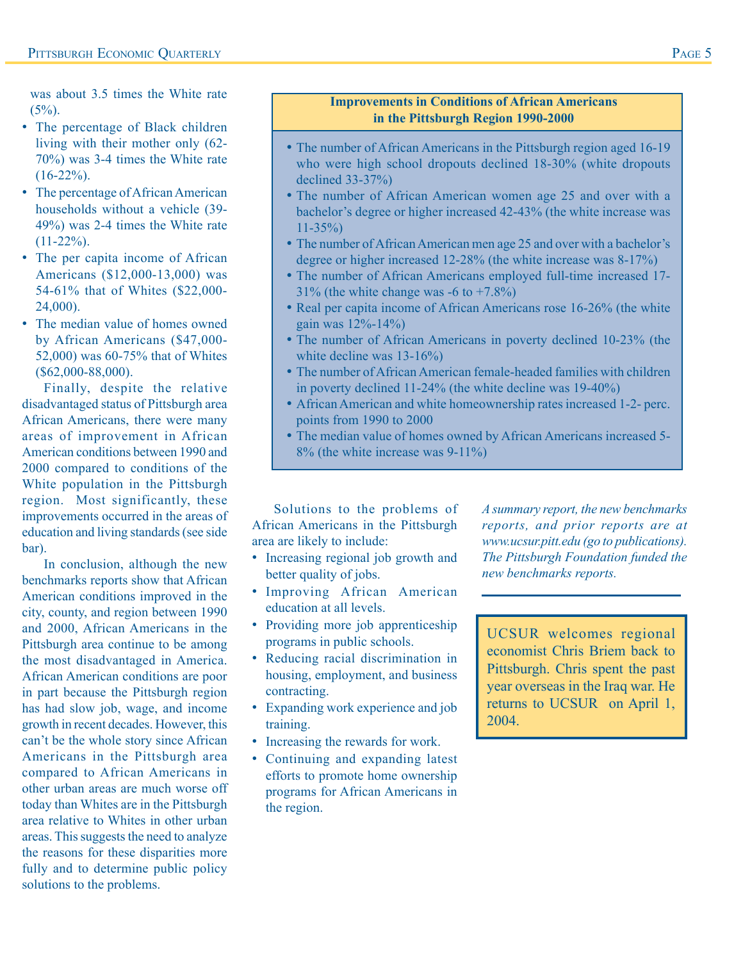was about 3.5 times the White rate  $(5\%)$ .

- The percentage of Black children living with their mother only (62- 70%) was 3-4 times the White rate  $(16-22\%)$ .
- The percentage of African American households without a vehicle (39- 49%) was 2-4 times the White rate  $(11-22\%)$ .
- The per capita income of African Americans (\$12,000-13,000) was 54-61% that of Whites (\$22,000- 24,000).
- The median value of homes owned by African Americans (\$47,000- 52,000) was 60-75% that of Whites (\$62,000-88,000).

Finally, despite the relative disadvantaged status of Pittsburgh area African Americans, there were many areas of improvement in African American conditions between 1990 and 2000 compared to conditions of the White population in the Pittsburgh region. Most significantly, these improvements occurred in the areas of education and living standards (see side bar).

In conclusion, although the new benchmarks reports show that African American conditions improved in the city, county, and region between 1990 and 2000, African Americans in the Pittsburgh area continue to be among the most disadvantaged in America. African American conditions are poor in part because the Pittsburgh region has had slow job, wage, and income growth in recent decades. However, this can't be the whole story since African Americans in the Pittsburgh area compared to African Americans in other urban areas are much worse off today than Whites are in the Pittsburgh area relative to Whites in other urban areas. This suggests the need to analyze the reasons for these disparities more fully and to determine public policy solutions to the problems.

### **Improvements in Conditions of African Americans in the Pittsburgh Region 1990-2000**

- The number of African Americans in the Pittsburgh region aged 16-19 who were high school dropouts declined 18-30% (white dropouts declined 33-37%)
- The number of African American women age 25 and over with a bachelor's degree or higher increased 42-43% (the white increase was 11-35%)
- The number of African American men age 25 and over with a bachelor's degree or higher increased 12-28% (the white increase was 8-17%)
- The number of African Americans employed full-time increased 17-  $31\%$  (the white change was -6 to +7.8%)
- Real per capita income of African Americans rose 16-26% (the white gain was 12%-14%)
- The number of African Americans in poverty declined 10-23% (the white decline was 13-16%)
- The number of African American female-headed families with children in poverty declined 11-24% (the white decline was 19-40%)
- African American and white homeownership rates increased 1-2- perc. points from 1990 to 2000
- The median value of homes owned by African Americans increased 5- 8% (the white increase was 9-11%)

Solutions to the problems of African Americans in the Pittsburgh area are likely to include:

- Increasing regional job growth and better quality of jobs.
- Improving African American education at all levels.
- Providing more job apprenticeship programs in public schools.
- Reducing racial discrimination in housing, employment, and business contracting.
- Expanding work experience and job training.
- Increasing the rewards for work.
- Continuing and expanding latest efforts to promote home ownership programs for African Americans in the region.

*A summary report, the new benchmarks reports, and prior reports are at www.ucsur.pitt.edu (go to publications). The Pittsburgh Foundation funded the new benchmarks reports.*

UCSUR welcomes regional economist Chris Briem back to Pittsburgh. Chris spent the past year overseas in the Iraq war. He returns to UCSUR on April 1, 2004.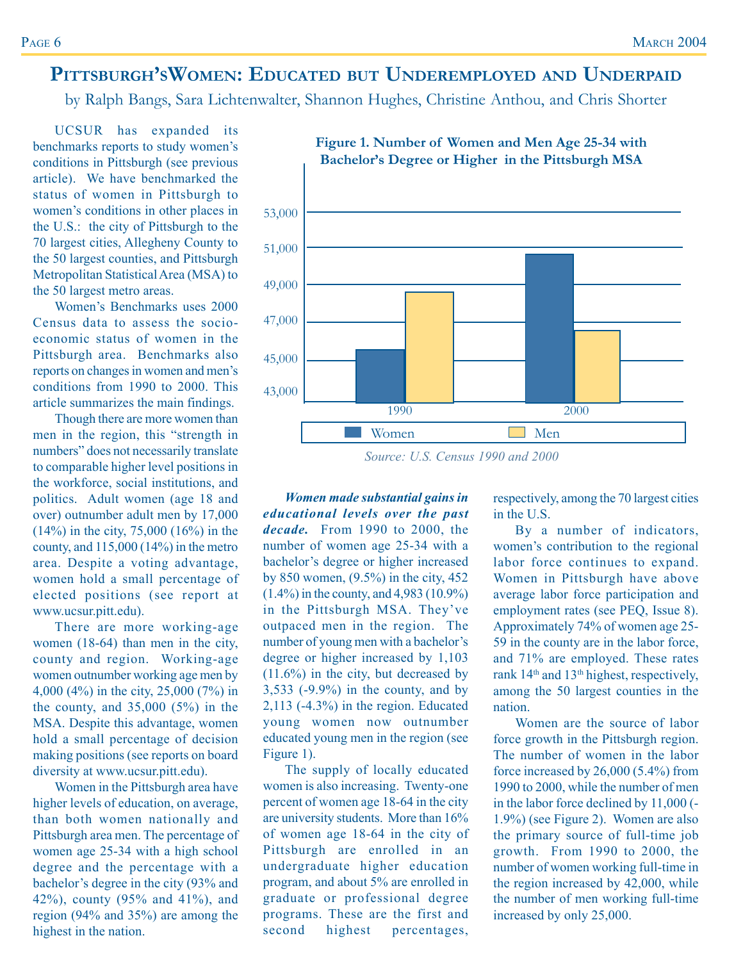# **PITTSBURGH'SWOMEN: EDUCATED BUT UNDEREMPLOYED AND UNDERPAID**

by Ralph Bangs, Sara Lichtenwalter, Shannon Hughes, Christine Anthou, and Chris Shorter

UCSUR has expanded its benchmarks reports to study women's conditions in Pittsburgh (see previous article). We have benchmarked the status of women in Pittsburgh to women's conditions in other places in the U.S.: the city of Pittsburgh to the 70 largest cities, Allegheny County to the 50 largest counties, and Pittsburgh Metropolitan Statistical Area (MSA) to the 50 largest metro areas.

Women's Benchmarks uses 2000 Census data to assess the socioeconomic status of women in the Pittsburgh area. Benchmarks also reports on changes in women and men's conditions from 1990 to 2000. This article summarizes the main findings.

Though there are more women than men in the region, this "strength in numbers" does not necessarily translate to comparable higher level positions in the workforce, social institutions, and politics. Adult women (age 18 and over) outnumber adult men by 17,000 (14%) in the city, 75,000 (16%) in the county, and 115,000 (14%) in the metro area. Despite a voting advantage, women hold a small percentage of elected positions (see report at www.ucsur.pitt.edu).

There are more working-age women (18-64) than men in the city, county and region. Working-age women outnumber working age men by 4,000 (4%) in the city, 25,000 (7%) in the county, and 35,000 (5%) in the MSA. Despite this advantage, women hold a small percentage of decision making positions (see reports on board diversity at www.ucsur.pitt.edu).

Women in the Pittsburgh area have higher levels of education, on average, than both women nationally and Pittsburgh area men. The percentage of women age 25-34 with a high school degree and the percentage with a bachelor's degree in the city (93% and 42%), county (95% and 41%), and region (94% and 35%) are among the highest in the nation.



### **Figure 1. Number of Women and Men Age 25-34 with Bachelor's Degree or Higher in the Pittsburgh MSA**

*Source: U.S. Census 1990 and 2000*

*Women made substantial gains in educational levels over the past decade.* From 1990 to 2000, the number of women age 25-34 with a bachelor's degree or higher increased by 850 women, (9.5%) in the city, 452 (1.4%) in the county, and 4,983 (10.9%) in the Pittsburgh MSA. They've outpaced men in the region. The number of young men with a bachelor's degree or higher increased by 1,103 (11.6%) in the city, but decreased by 3,533 (-9.9%) in the county, and by 2,113 (-4.3%) in the region. Educated young women now outnumber educated young men in the region (see Figure 1).

The supply of locally educated women is also increasing. Twenty-one percent of women age 18-64 in the city are university students. More than 16% of women age 18-64 in the city of Pittsburgh are enrolled in an undergraduate higher education program, and about 5% are enrolled in graduate or professional degree programs. These are the first and second highest percentages,

respectively, among the 70 largest cities in the U.S.

By a number of indicators, women's contribution to the regional labor force continues to expand. Women in Pittsburgh have above average labor force participation and employment rates (see PEQ, Issue 8). Approximately 74% of women age 25- 59 in the county are in the labor force, and 71% are employed. These rates rank 14th and 13th highest, respectively, among the 50 largest counties in the nation.

Women are the source of labor force growth in the Pittsburgh region. The number of women in the labor force increased by 26,000 (5.4%) from 1990 to 2000, while the number of men in the labor force declined by 11,000 (- 1.9%) (see Figure 2). Women are also the primary source of full-time job growth. From 1990 to 2000, the number of women working full-time in the region increased by 42,000, while the number of men working full-time increased by only 25,000.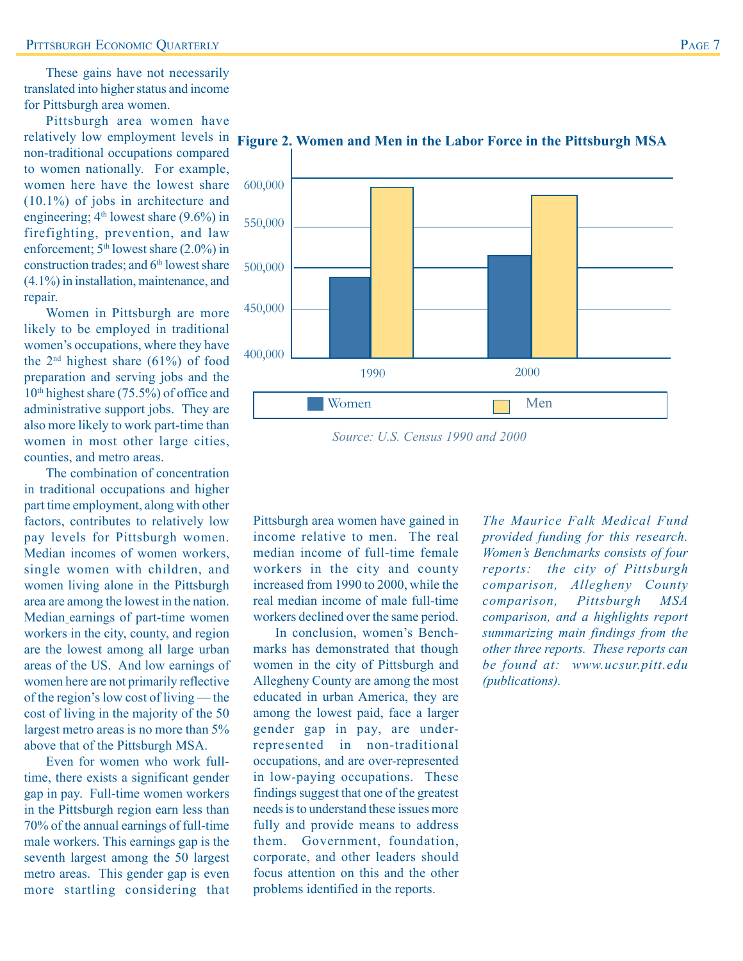These gains have not necessarily translated into higher status and income for Pittsburgh area women.

Pittsburgh area women have relatively low employment levels in non-traditional occupations compared to women nationally. For example, women here have the lowest share (10.1%) of jobs in architecture and engineering;  $4<sup>th</sup>$  lowest share (9.6%) in firefighting, prevention, and law enforcement; 5<sup>th</sup> lowest share (2.0%) in construction trades; and  $6<sup>th</sup>$  lowest share (4.1%) in installation, maintenance, and repair.

Women in Pittsburgh are more likely to be employed in traditional women's occupations, where they have the  $2<sup>nd</sup>$  highest share (61%) of food preparation and serving jobs and the 10th highest share (75.5%) of office and administrative support jobs. They are also more likely to work part-time than women in most other large cities, counties, and metro areas.

The combination of concentration in traditional occupations and higher part time employment, along with other factors, contributes to relatively low pay levels for Pittsburgh women. Median incomes of women workers, single women with children, and women living alone in the Pittsburgh area are among the lowest in the nation. Median earnings of part-time women workers in the city, county, and region are the lowest among all large urban areas of the US. And low earnings of women here are not primarily reflective of the region's low cost of living — the cost of living in the majority of the 50 largest metro areas is no more than 5% above that of the Pittsburgh MSA.

Even for women who work fulltime, there exists a significant gender gap in pay. Full-time women workers in the Pittsburgh region earn less than 70% of the annual earnings of full-time male workers. This earnings gap is the seventh largest among the 50 largest metro areas. This gender gap is even more startling considering that



**Figure 2. Women and Men in the Labor Force in the Pittsburgh MSA**

Pittsburgh area women have gained in income relative to men. The real median income of full-time female workers in the city and county increased from 1990 to 2000, while the real median income of male full-time workers declined over the same period.

In conclusion, women's Benchmarks has demonstrated that though women in the city of Pittsburgh and Allegheny County are among the most educated in urban America, they are among the lowest paid, face a larger gender gap in pay, are underrepresented in non-traditional occupations, and are over-represented in low-paying occupations. These findings suggest that one of the greatest needs is to understand these issues more fully and provide means to address them. Government, foundation, corporate, and other leaders should focus attention on this and the other problems identified in the reports.

*The Maurice Falk Medical Fund provided funding for this research. Women's Benchmarks consists of four reports: the city of Pittsburgh comparison, Allegheny County comparison, Pittsburgh MSA comparison, and a highlights report summarizing main findings from the other three reports. These reports can be found at: www.ucsur.pitt.edu (publications).*

*Source: U.S. Census 1990 and 2000*